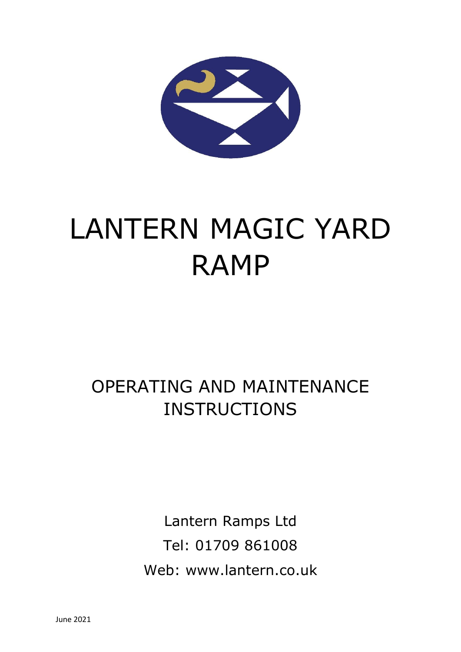

# LANTERN MAGIC YARD RAMP

## OPERATING AND MAINTENANCE **INSTRUCTIONS**

Lantern Ramps Ltd Tel: 01709 861008 Web: www.lantern.co.uk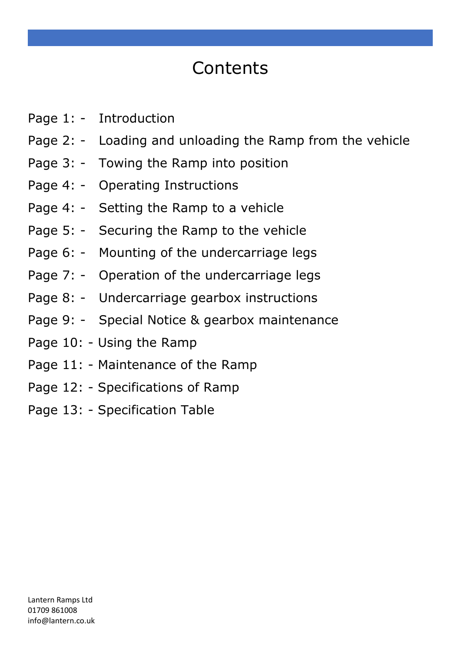# **Contents**

- Page 1: Introduction
- Page 2: Loading and unloading the Ramp from the vehicle
- Page 3: Towing the Ramp into position
- Page 4: Operating Instructions
- Page 4: Setting the Ramp to a vehicle
- Page 5: Securing the Ramp to the vehicle
- Page 6: Mounting of the undercarriage legs
- Page 7: Operation of the undercarriage legs
- Page 8: Undercarriage gearbox instructions
- Page 9: Special Notice & gearbox maintenance
- Page 10: Using the Ramp
- Page 11: Maintenance of the Ramp
- Page 12: Specifications of Ramp
- Page 13: Specification Table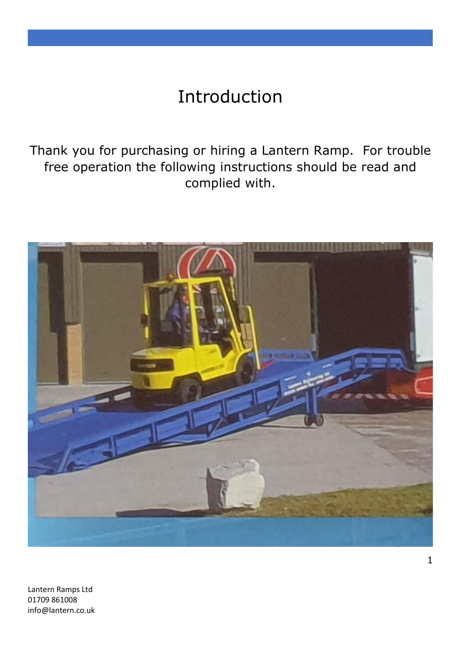### Introduction

Thank you for purchasing or hiring a Lantern Ramp. For trouble free operation the following instructions should be read and complied with.



Lantern Ramps Ltd 01709 861008 info@lantern.co.uk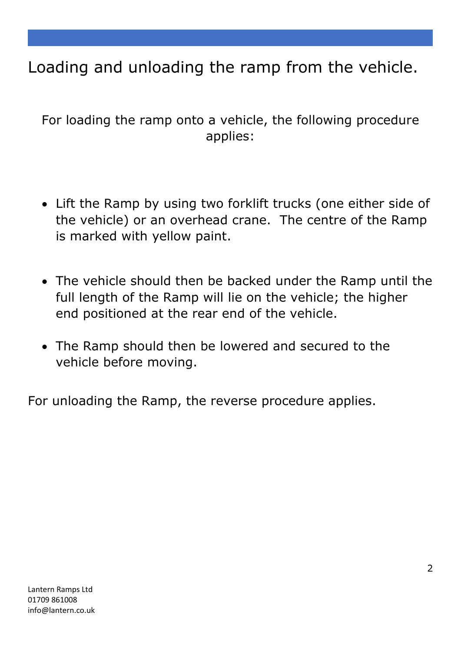### Loading and unloading the ramp from the vehicle.

For loading the ramp onto a vehicle, the following procedure applies:

- Lift the Ramp by using two forklift trucks (one either side of the vehicle) or an overhead crane. The centre of the Ramp is marked with yellow paint.
- The vehicle should then be backed under the Ramp until the full length of the Ramp will lie on the vehicle; the higher end positioned at the rear end of the vehicle.
- The Ramp should then be lowered and secured to the vehicle before moving.

For unloading the Ramp, the reverse procedure applies.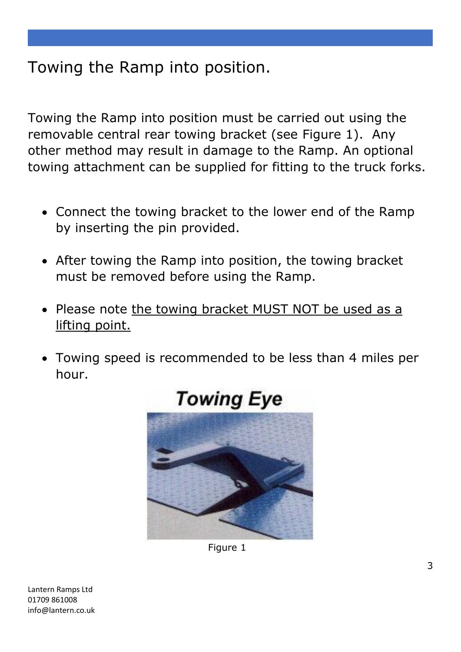#### Towing the Ramp into position.

Towing the Ramp into position must be carried out using the removable central rear towing bracket (see Figure 1). Any other method may result in damage to the Ramp. An optional towing attachment can be supplied for fitting to the truck forks.

- Connect the towing bracket to the lower end of the Ramp by inserting the pin provided.
- After towing the Ramp into position, the towing bracket must be removed before using the Ramp.
- Please note the towing bracket MUST NOT be used as a lifting point.
- Towing speed is recommended to be less than 4 miles per hour.



Figure 1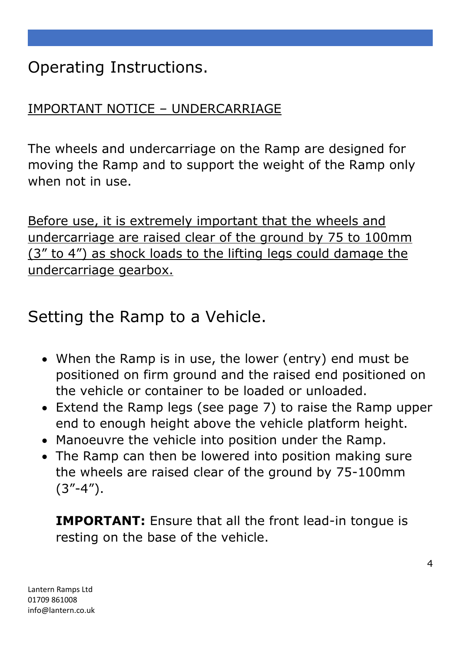Operating Instructions.

#### IMPORTANT NOTICE – UNDERCARRIAGE

The wheels and undercarriage on the Ramp are designed for moving the Ramp and to support the weight of the Ramp only when not in use.

Before use, it is extremely important that the wheels and undercarriage are raised clear of the ground by 75 to 100mm (3" to 4") as shock loads to the lifting legs could damage the undercarriage gearbox.

Setting the Ramp to a Vehicle.

- When the Ramp is in use, the lower (entry) end must be positioned on firm ground and the raised end positioned on the vehicle or container to be loaded or unloaded.
- Extend the Ramp legs (see page 7) to raise the Ramp upper end to enough height above the vehicle platform height.
- Manoeuvre the vehicle into position under the Ramp.
- The Ramp can then be lowered into position making sure the wheels are raised clear of the ground by 75-100mm  $(3''-4'')$ .

**IMPORTANT:** Ensure that all the front lead-in tongue is resting on the base of the vehicle.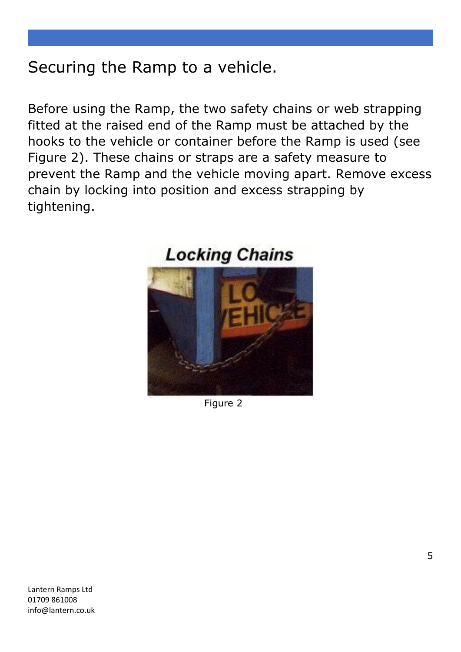### Securing the Ramp to a vehicle.

Before using the Ramp, the two safety chains or web strapping fitted at the raised end of the Ramp must be attached by the hooks to the vehicle or container before the Ramp is used (see Figure 2). These chains or straps are a safety measure to prevent the Ramp and the vehicle moving apart. Remove excess chain by locking into position and excess strapping by tightening.



Figure 2

Lantern Ramps Ltd 01709 861008 info@lantern.co.uk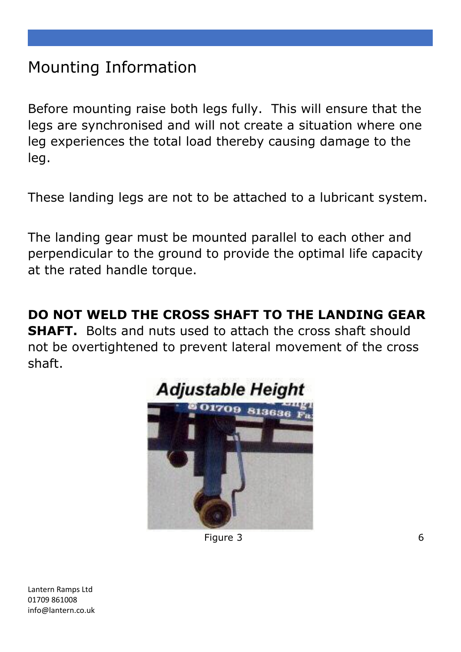### Mounting Information

Before mounting raise both legs fully. This will ensure that the legs are synchronised and will not create a situation where one leg experiences the total load thereby causing damage to the leg.

These landing legs are not to be attached to a lubricant system.

The landing gear must be mounted parallel to each other and perpendicular to the ground to provide the optimal life capacity at the rated handle torque.

**DO NOT WELD THE CROSS SHAFT TO THE LANDING GEAR** 

**SHAFT.** Bolts and nuts used to attach the cross shaft should not be overtightened to prevent lateral movement of the cross shaft.



**Figure 3** 6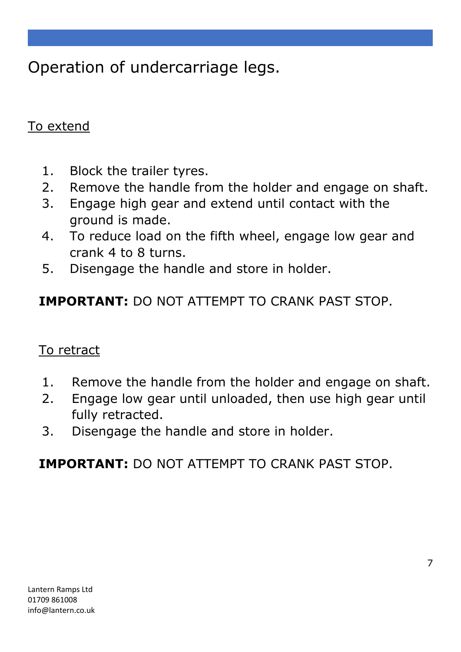Operation of undercarriage legs.

#### To extend

- 1. Block the trailer tyres.
- 2. Remove the handle from the holder and engage on shaft.
- 3. Engage high gear and extend until contact with the ground is made.
- 4. To reduce load on the fifth wheel, engage low gear and crank 4 to 8 turns.
- 5. Disengage the handle and store in holder.

**IMPORTANT:** DO NOT ATTEMPT TO CRANK PAST STOP.

#### To retract

- 1. Remove the handle from the holder and engage on shaft.
- 2. Engage low gear until unloaded, then use high gear until fully retracted.
- 3. Disengage the handle and store in holder.

**IMPORTANT:** DO NOT ATTEMPT TO CRANK PAST STOP.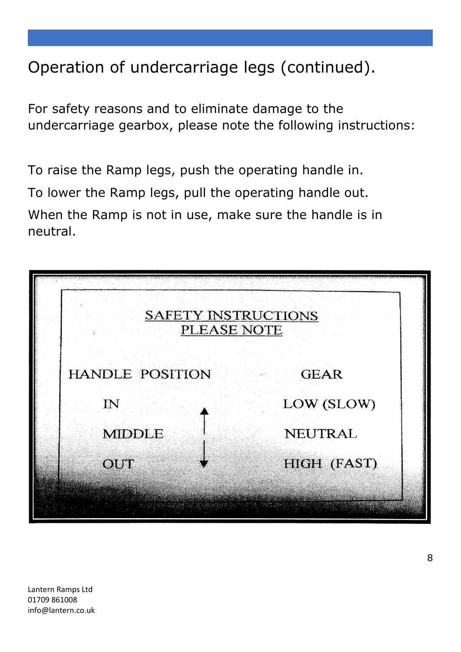### Operation of undercarriage legs (continued).

For safety reasons and to eliminate damage to the undercarriage gearbox, please note the following instructions:

To raise the Ramp legs, push the operating handle in. To lower the Ramp legs, pull the operating handle out. When the Ramp is not in use, make sure the handle is in neutral.

| <b>SAFETY INSTRUCTIONS</b><br>PLEASE NOTE |                    |
|-------------------------------------------|--------------------|
| <b>HANDLE POSITION</b>                    | <b>GEAR</b>        |
| $\overline{\mathbf{N}}$                   | LOW (SLOW)         |
| <b>MIDDLE</b>                             | <b>NEUTRAL</b>     |
| OUT                                       | <b>HIGH (FAST)</b> |
|                                           |                    |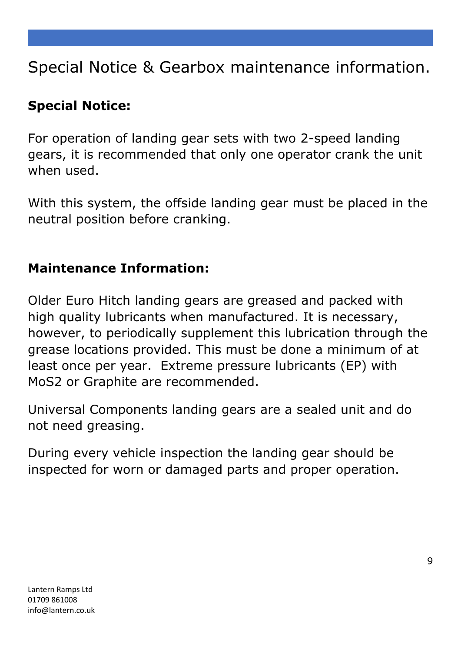### Special Notice & Gearbox maintenance information.

#### **Special Notice:**

For operation of landing gear sets with two 2-speed landing gears, it is recommended that only one operator crank the unit when used.

With this system, the offside landing gear must be placed in the neutral position before cranking.

#### **Maintenance Information:**

Older Euro Hitch landing gears are greased and packed with high quality lubricants when manufactured. It is necessary, however, to periodically supplement this lubrication through the grease locations provided. This must be done a minimum of at least once per year. Extreme pressure lubricants (EP) with MoS2 or Graphite are recommended.

Universal Components landing gears are a sealed unit and do not need greasing.

During every vehicle inspection the landing gear should be inspected for worn or damaged parts and proper operation.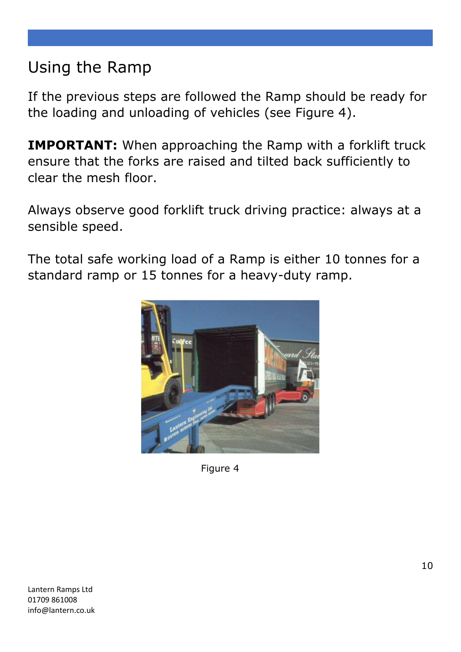### Using the Ramp

If the previous steps are followed the Ramp should be ready for the loading and unloading of vehicles (see Figure 4).

**IMPORTANT:** When approaching the Ramp with a forklift truck ensure that the forks are raised and tilted back sufficiently to clear the mesh floor.

Always observe good forklift truck driving practice: always at a sensible speed.

The total safe working load of a Ramp is either 10 tonnes for a standard ramp or 15 tonnes for a heavy-duty ramp.



Figure 4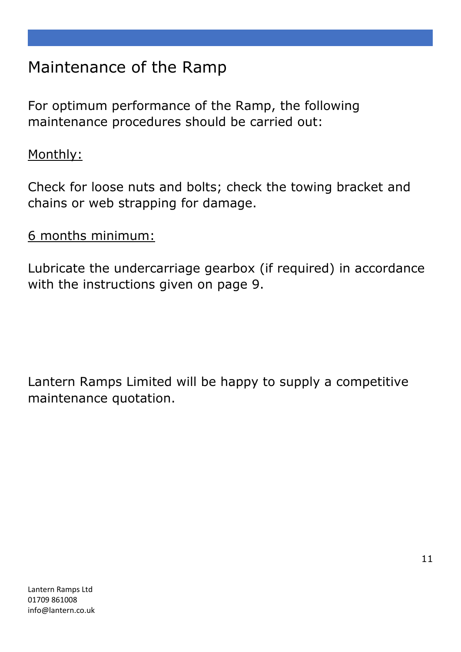### Maintenance of the Ramp

For optimum performance of the Ramp, the following maintenance procedures should be carried out:

#### Monthly:

Check for loose nuts and bolts; check the towing bracket and chains or web strapping for damage.

#### 6 months minimum:

Lubricate the undercarriage gearbox (if required) in accordance with the instructions given on page 9.

Lantern Ramps Limited will be happy to supply a competitive maintenance quotation.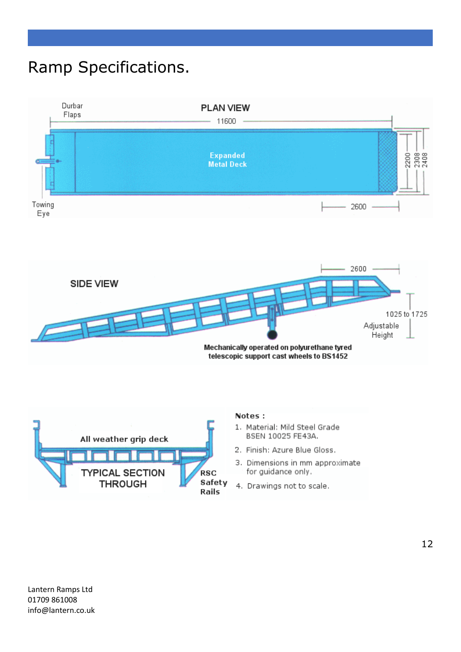### Ramp Specifications.







#### Notes:

- 1. Material: Mild Steel Grade BSEN 10025 FE43A.
- 2. Finish: Azure Blue Gloss.
- 3. Dimensions in mm approximate for guidance only.
- 4. Drawings not to scale.